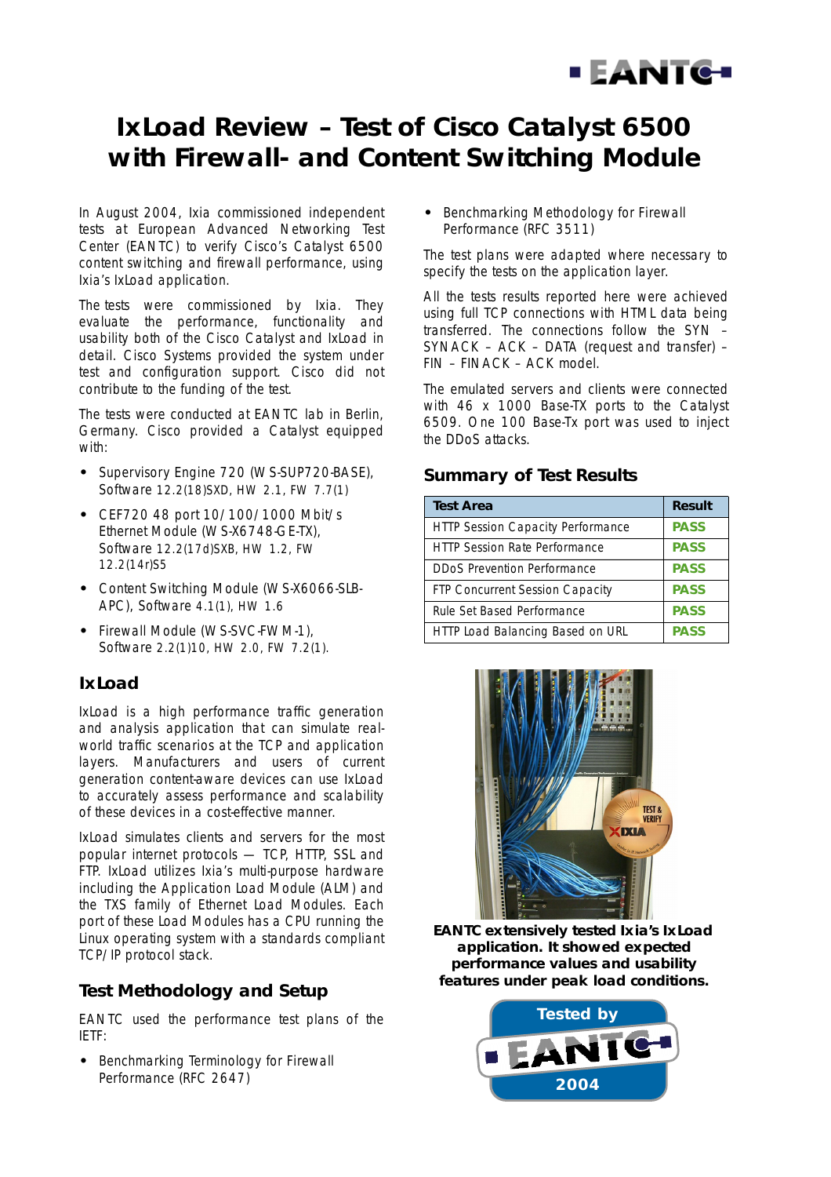

# **IxLoad Review – Test of Cisco Catalyst 6500 with Firewall- and Content Switching Module**

In August 2004, Ixia commissioned independent tests at European Advanced Networking Test Center (EANTC) to verify Cisco's Catalyst 6500 content switching and firewall performance, using Ixia's IxLoad application.

The tests were commissioned by Ixia. They evaluate the performance, functionality and usability both of the Cisco Catalyst and IxLoad in detail. Cisco Systems provided the system under test and configuration support. Cisco did not contribute to the funding of the test.

The tests were conducted at EANTC lab in Berlin, Germany. Cisco provided a Catalyst equipped with:

- **•** Supervisory Engine 720 (WS-SUP720-BASE), Software 12.2(18)SXD, HW 2.1, FW 7.7(1)
- **•** CEF720 48 port 10/100/1000 Mbit/s Ethernet Module (WS-X6748-GE-TX), Software 12.2(17d)SXB, HW 1.2, FW 12.2(14r)S5
- **•** Content Switching Module (WS-X6066-SLB-APC), Software 4.1(1), HW 1.6
- **•** Firewall Module (WS-SVC-FWM-1), Software 2.2(1)10, HW 2.0, FW 7.2(1).

### **IxLoad**

IxLoad is a high performance traffic generation and analysis application that can simulate realworld traffic scenarios at the TCP and application layers. Manufacturers and users of current generation content-aware devices can use IxLoad to accurately assess performance and scalability of these devices in a cost-effective manner.

IxLoad simulates clients and servers for the most popular internet protocols — TCP, HTTP, SSL and FTP. IxLoad utilizes Ixia's multi-purpose hardware including the Application Load Module (ALM) and the TXS family of Ethernet Load Modules. Each port of these Load Modules has a CPU running the Linux operating system with a standards compliant TCP/IP protocol stack.

### **Test Methodology and Setup**

EANTC used the performance test plans of the IETF:

**•** Benchmarking Terminology for Firewall Performance (RFC 2647)

**•** Benchmarking Methodology for Firewall Performance (RFC 3511)

The test plans were adapted where necessary to specify the tests on the application layer.

All the tests results reported here were achieved using full TCP connections with HTML data being transferred. The connections follow the SYN – SYNACK – ACK – DATA (request and transfer) – FIN – FINACK – ACK model.

The emulated servers and clients were connected with 46 x 1000 Base-TX ports to the Catalyst 6509. One 100 Base-Tx port was used to inject the DDoS attacks.

### **Summary of Test Results**

| <b>Test Area</b>                         | <b>Result</b> |
|------------------------------------------|---------------|
| <b>HTTP Session Capacity Performance</b> | <b>PASS</b>   |
| <b>HTTP Session Rate Performance</b>     | <b>PASS</b>   |
| <b>DDoS Prevention Performance</b>       | <b>PASS</b>   |
| FTP Concurrent Session Capacity          | <b>PASS</b>   |
| Rule Set Based Performance               | <b>PASS</b>   |
| HTTP Load Balancing Based on URL         | <b>PASS</b>   |



**EANTC extensively tested Ixia's IxLoad application. It showed expected performance values and usability features under peak load conditions.**

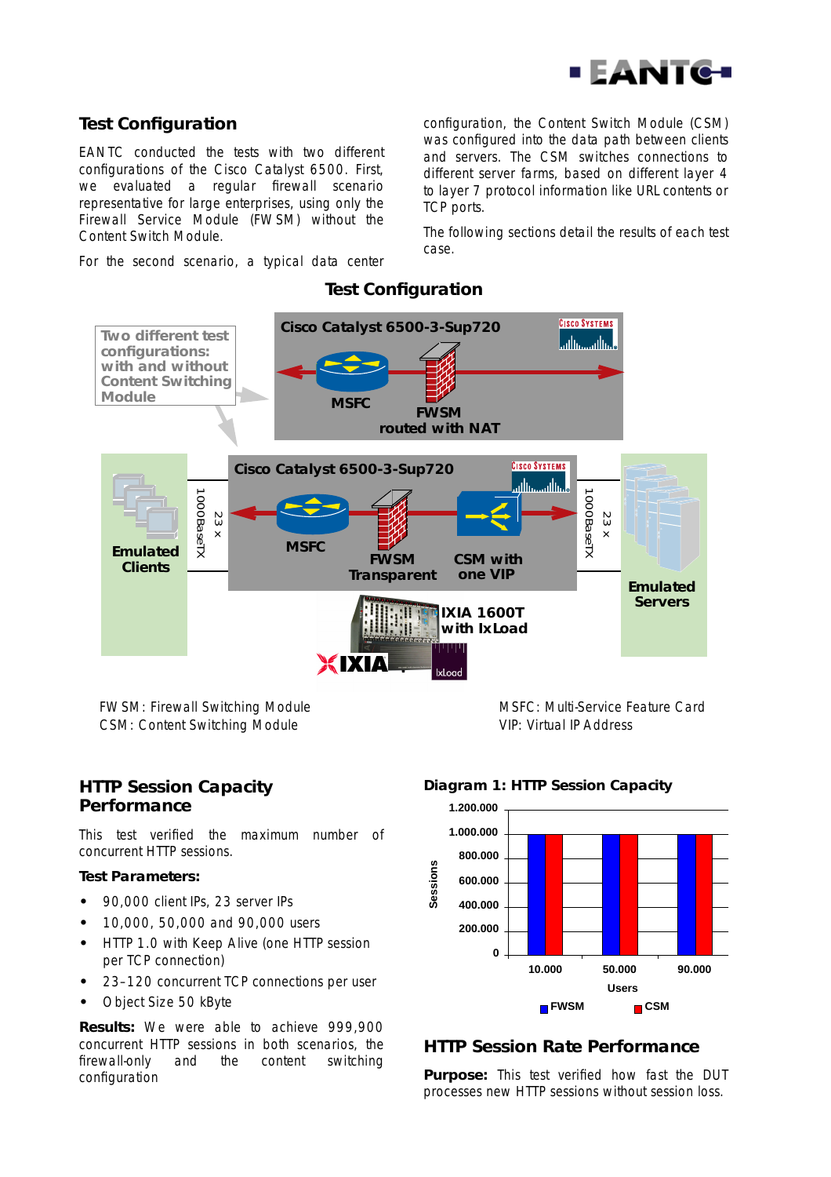

### **Test Configuration**

EANTC conducted the tests with two different configurations of the Cisco Catalyst 6500. First, we evaluated a regular firewall scenario representative for large enterprises, using only the Firewall Service Module (FWSM) without the Content Switch Module.

For the second scenario, a typical data center

configuration, the Content Switch Module (CSM) was configured into the data path between clients and servers. The CSM switches connections to different server farms, based on different layer 4 to layer 7 protocol information like URL contents or TCP ports.

The following sections detail the results of each test case.



**Test Configuration**

FWSM: Firewall Switching Module CSM: Content Switching Module

MSFC: Multi-Service Feature Card VIP: Virtual IP Address

### **HTTP Session Capacity Performance**

This test verified the maximum number of concurrent HTTP sessions.

#### **Test Parameters:**

- **•** 90,000 client IPs, 23 server IPs
- **•** 10,000, 50,000 and 90,000 users
- **•** HTTP 1.0 with Keep Alive (one HTTP session per TCP connection)
- **•** 23–120 concurrent TCP connections per user
- **•** Object Size 50 kByte

**Results:** We were able to achieve 999,900 concurrent HTTP sessions in both scenarios, the firewall-only and the content switching configuration

#### **Diagram 1: HTTP Session Capacity**



## **HTTP Session Rate Performance**

**Purpose:** This test verified how fast the DUT processes new HTTP sessions without session loss.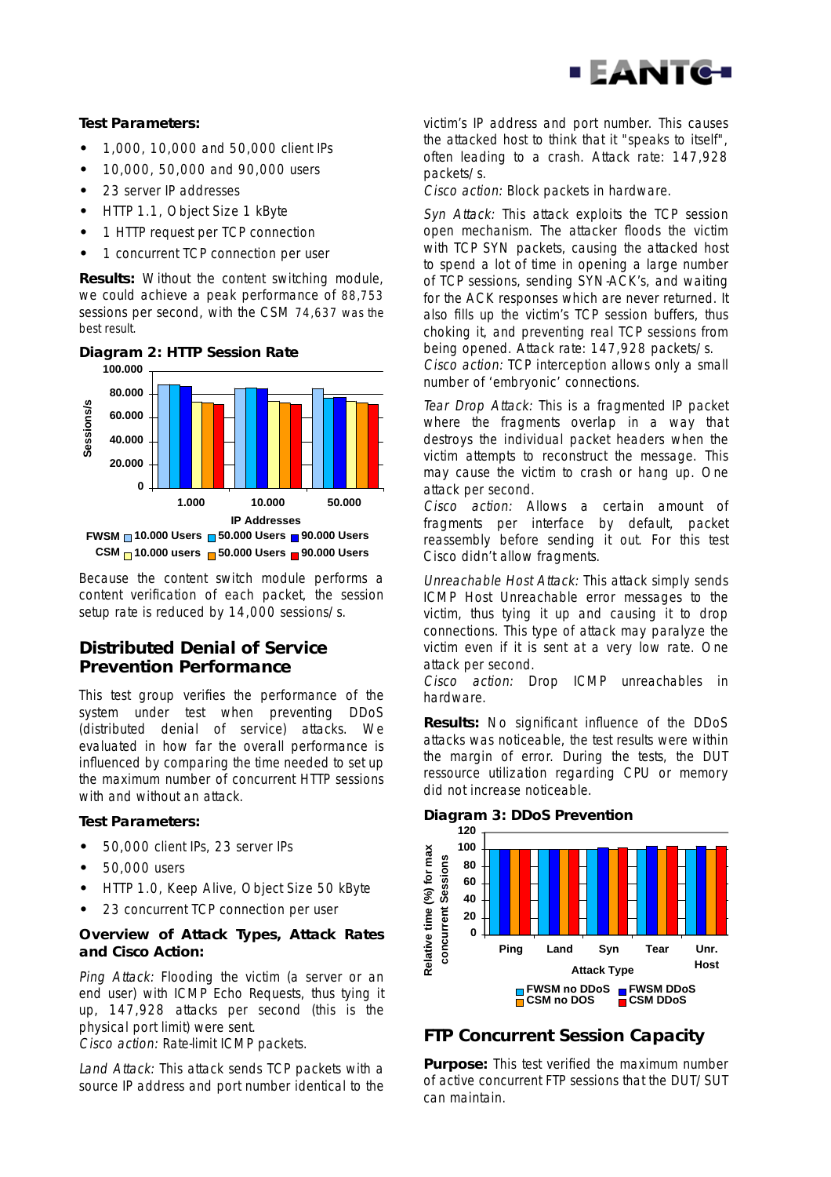

#### **Test Parameters:**

- **•** 1,000, 10,000 and 50,000 client IPs
- **•** 10,000, 50,000 and 90,000 users
- **•** 23 server IP addresses
- **•** HTTP 1.1, Object Size 1 kByte
- **•** 1 HTTP request per TCP connection
- **•** 1 concurrent TCP connection per user

**Results:** Without the content switching module, we could achieve a peak performance of 88,753 sessions per second, with the CSM 74,637 was the best result.



**Diagram 2: HTTP Session Rate**

Because the content switch module performs a content verification of each packet, the session setup rate is reduced by 14,000 sessions/s.

### **Distributed Denial of Service Prevention Performance**

This test group verifies the performance of the system under test when preventing DDoS (distributed denial of service) attacks. We evaluated in how far the overall performance is influenced by comparing the time needed to set up the maximum number of concurrent HTTP sessions with and without an attack.

#### **Test Parameters:**

- **•** 50,000 client IPs, 23 server IPs
- **•** 50,000 users
- **•** HTTP 1.0, Keep Alive, Object Size 50 kByte
- **•** 23 concurrent TCP connection per user

#### **Overview of Attack Types, Attack Rates and Cisco Action:**

Ping Attack: Flooding the victim (a server or an end user) with ICMP Echo Requests, thus tying it up, 147,928 attacks per second (this is the physical port limit) were sent.

Cisco action: Rate-limit ICMP packets.

Land Attack: This attack sends TCP packets with a source IP address and port number identical to the victim's IP address and port number. This causes the attacked host to think that it "speaks to itself", often leading to a crash. Attack rate: 147,928 packets/s.

Cisco action: Block packets in hardware.

Syn Attack: This attack exploits the TCP session open mechanism. The attacker floods the victim with TCP SYN packets, causing the attacked host to spend a lot of time in opening a large number of TCP sessions, sending SYN-ACK's, and waiting for the ACK responses which are never returned. It also fills up the victim's TCP session buffers, thus choking it, and preventing real TCP sessions from being opened. Attack rate: 147,928 packets/s.

Cisco action: TCP interception allows only a small number of 'embryonic' connections.

Tear Drop Attack: This is a fragmented IP packet where the fragments overlap in a way that destroys the individual packet headers when the victim attempts to reconstruct the message. This may cause the victim to crash or hang up. One attack per second.

Cisco action: Allows a certain amount of fragments per interface by default, packet reassembly before sending it out. For this test Cisco didn't allow fragments.

Unreachable Host Attack: This attack simply sends ICMP Host Unreachable error messages to the victim, thus tying it up and causing it to drop connections. This type of attack may paralyze the victim even if it is sent at a very low rate. One attack per second.

Cisco action: Drop ICMP unreachables in hardware.

**Results:** No significant influence of the DDoS attacks was noticeable, the test results were within the margin of error. During the tests, the DUT ressource utilization regarding CPU or memory did not increase noticeable.

#### **Diagram 3: DDoS Prevention**



# **FTP Concurrent Session Capacity**

**Purpose:** This test verified the maximum number of active concurrent FTP sessions that the DUT/SUT can maintain.